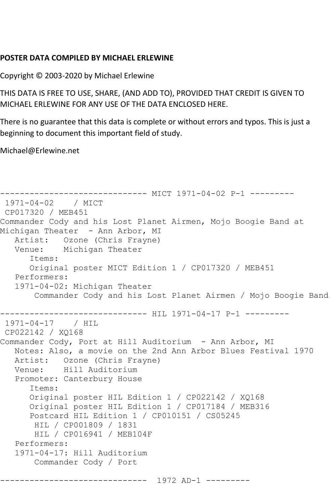## **POSTER DATA COMPILED BY MICHAEL ERLEWINE**

Copyright © 2003-2020 by Michael Erlewine

THIS DATA IS FREE TO USE, SHARE, (AND ADD TO), PROVIDED THAT CREDIT IS GIVEN TO MICHAEL ERLEWINE FOR ANY USE OF THE DATA ENCLOSED HERE.

There is no guarantee that this data is complete or without errors and typos. This is just a beginning to document this important field of study.

Michael@Erlewine.net

```
------------------------------ MICT 1971-04-02 P-1 ---------
1971-04-02 / MICT 
CP017320 / MEB451
Commander Cody and his Lost Planet Airmen, Mojo Boogie Band at 
Michigan Theater - Ann Arbor, MI
   Artist: Ozone (Chris Frayne)
   Venue: Michigan Theater
      Items:
      Original poster MICT Edition 1 / CP017320 / MEB451
   Performers:
   1971-04-02: Michigan Theater
        Commander Cody and his Lost Planet Airmen / Mojo Boogie Band
------------------------------ HIL 1971-04-17 P-1 ---------
1971-04-17 / HIL 
CP022142 / XQ168
Commander Cody, Port at Hill Auditorium - Ann Arbor, MI
   Notes: Also, a movie on the 2nd Ann Arbor Blues Festival 1970
   Artist: Ozone (Chris Frayne)
   Venue: Hill Auditorium
   Promoter: Canterbury House
       Items:
      Original poster HIL Edition 1 / CP022142 / XQ168
      Original poster HIL Edition 1 / CP017184 / MEB316
      Postcard HIL Edition 1 / CP010151 / CS05245
       HIL / CP001809 / 1831
        HIL / CP016941 / MEB104F
   Performers:
   1971-04-17: Hill Auditorium
       Commander Cody / Port
           ------------------------------ 1972 AD-1 ---------
```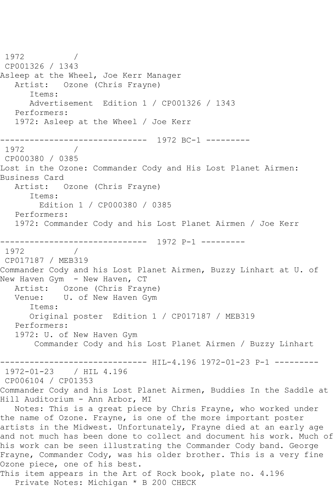1972 / CP001326 / 1343 Asleep at the Wheel, Joe Kerr Manager Artist: Ozone (Chris Frayne) Items: Advertisement Edition 1 / CP001326 / 1343 Performers: 1972: Asleep at the Wheel / Joe Kerr ------------------------------ 1972 BC-1 --------- 1972 CP000380 / 0385 Lost in the Ozone: Commander Cody and His Lost Planet Airmen: Business Card Artist: Ozone (Chris Frayne) Items: Edition 1 / CP000380 / 0385 Performers: 1972: Commander Cody and his Lost Planet Airmen / Joe Kerr ------------------------------ 1972 P-1 --------- 1972 / CP017187 / MEB319 Commander Cody and his Lost Planet Airmen, Buzzy Linhart at U. of New Haven Gym - New Haven, CT Artist: Ozone (Chris Frayne) Venue: U. of New Haven Gym Items: Original poster Edition 1 / CP017187 / MEB319 Performers: 1972: U. of New Haven Gym Commander Cody and his Lost Planet Airmen / Buzzy Linhart ------------------------------ HIL-4.196 1972-01-23 P-1 --------- 1972-01-23 / HIL 4.196 CP006104 / CP01353 Commander Cody and his Lost Planet Airmen, Buddies In the Saddle at Hill Auditorium - Ann Arbor, MI Notes: This is a great piece by Chris Frayne, who worked under the name of Ozone. Frayne, is one of the more important poster artists in the Midwest. Unfortunately, Frayne died at an early age and not much has been done to collect and document his work. Much of his work can be seen illustrating the Commander Cody band. George Frayne, Commander Cody, was his older brother. This is a very fine Ozone piece, one of his best. This item appears in the Art of Rock book, plate no. 4.196 Private Notes: Michigan \* B 200 CHECK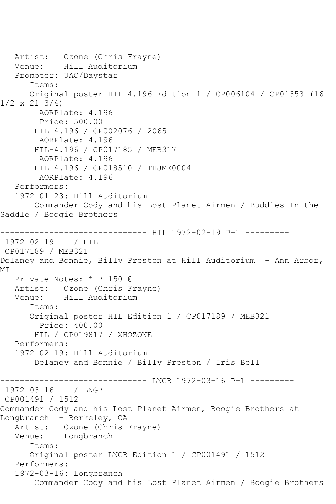Artist: Ozone (Chris Frayne) Venue: Hill Auditorium Promoter: UAC/Daystar Items: Original poster HIL-4.196 Edition 1 / CP006104 / CP01353 (16-  $1/2 \times 21 - 3/4$  AORPlate: 4.196 Price: 500.00 HIL-4.196 / CP002076 / 2065 AORPlate: 4.196 HIL-4.196 / CP017185 / MEB317 AORPlate: 4.196 HIL-4.196 / CP018510 / THJME0004 AORPlate: 4.196 Performers: 1972-01-23: Hill Auditorium Commander Cody and his Lost Planet Airmen / Buddies In the Saddle / Boogie Brothers ----------------------------- HIL 1972-02-19 P-1 ----------1972-02-19 / HIL CP017189 / MEB321 Delaney and Bonnie, Billy Preston at Hill Auditorium - Ann Arbor, MI Private Notes: \* B 150 @ Artist: Ozone (Chris Frayne)<br>Venue: Hill Auditorium Venue: Hill Auditorium Items: Original poster HIL Edition 1 / CP017189 / MEB321 Price: 400.00 HIL / CP019817 / XHOZONE Performers: 1972-02-19: Hill Auditorium Delaney and Bonnie / Billy Preston / Iris Bell ------------------------------ LNGB 1972-03-16 P-1 --------- 1972-03-16 / LNGB CP001491 / 1512 Commander Cody and his Lost Planet Airmen, Boogie Brothers at Longbranch - Berkeley, CA Artist: Ozone (Chris Frayne) Venue: Longbranch Items: Original poster LNGB Edition 1 / CP001491 / 1512 Performers: 1972-03-16: Longbranch Commander Cody and his Lost Planet Airmen / Boogie Brothers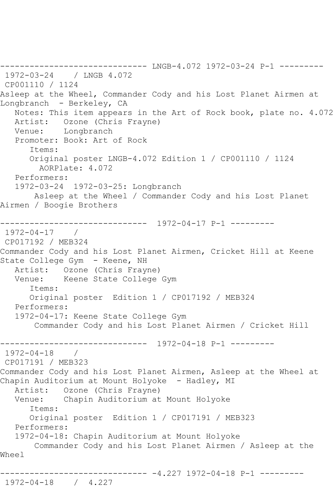------------------------------ LNGB-4.072 1972-03-24 P-1 --------- 1972-03-24 / LNGB 4.072 CP001110 / 1124 Asleep at the Wheel, Commander Cody and his Lost Planet Airmen at Longbranch - Berkeley, CA Notes: This item appears in the Art of Rock book, plate no. 4.072 Artist: Ozone (Chris Frayne) Venue: Longbranch Promoter: Book: Art of Rock Items: Original poster LNGB-4.072 Edition 1 / CP001110 / 1124 AORPlate: 4.072 Performers: 1972-03-24 1972-03-25: Longbranch Asleep at the Wheel / Commander Cody and his Lost Planet Airmen / Boogie Brothers ------------------------------ 1972-04-17 P-1 --------- 1972-04-17 / CP017192 / MEB324 Commander Cody and his Lost Planet Airmen, Cricket Hill at Keene State College Gym - Keene, NH Artist: Ozone (Chris Frayne) Venue: Keene State College Gym Items: Original poster Edition 1 / CP017192 / MEB324 Performers: 1972-04-17: Keene State College Gym Commander Cody and his Lost Planet Airmen / Cricket Hill ------------------------------ 1972-04-18 P-1 --------- 1972-04-18 / CP017191 / MEB323 Commander Cody and his Lost Planet Airmen, Asleep at the Wheel at Chapin Auditorium at Mount Holyoke - Hadley, MI Artist: Ozone (Chris Frayne) Venue: Chapin Auditorium at Mount Holyoke Items: Original poster Edition 1 / CP017191 / MEB323 Performers: 1972-04-18: Chapin Auditorium at Mount Holyoke Commander Cody and his Lost Planet Airmen / Asleep at the Wheel ------------------------------ -4.227 1972-04-18 P-1 --------- 1972-04-18 / 4.227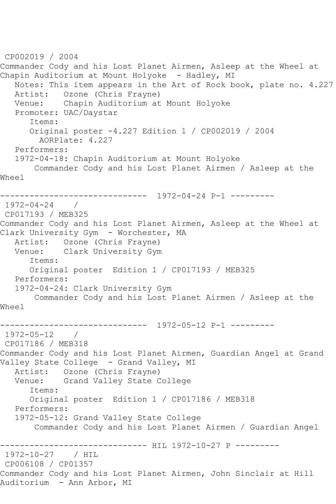```
CP002019 / 2004
Commander Cody and his Lost Planet Airmen, Asleep at the Wheel at 
Chapin Auditorium at Mount Holyoke - Hadley, MI
   Notes: This item appears in the Art of Rock book, plate no. 4.227
   Artist: Ozone (Chris Frayne)
   Venue: Chapin Auditorium at Mount Holyoke
   Promoter: UAC/Daystar
      Items:
      Original poster -4.227 Edition 1 / CP002019 / 2004
        AORPlate: 4.227 
   Performers:
   1972-04-18: Chapin Auditorium at Mount Holyoke
       Commander Cody and his Lost Planet Airmen / Asleep at the 
Wheel
                ------------------------------ 1972-04-24 P-1 ---------
1972-04-24 / 
CP017193 / MEB325
Commander Cody and his Lost Planet Airmen, Asleep at the Wheel at 
Clark University Gym - Worchester, MA
   Artist: Ozone (Chris Frayne)
   Venue: Clark University Gym
      Items:
      Original poster Edition 1 / CP017193 / MEB325
   Performers:
   1972-04-24: Clark University Gym
       Commander Cody and his Lost Planet Airmen / Asleep at the 
Wheel
------------------------------ 1972-05-12 P-1 ---------
1972-05-12 / 
CP017186 / MEB318
Commander Cody and his Lost Planet Airmen, Guardian Angel at Grand 
Valley State College - Grand Valley, MI
   Artist: Ozone (Chris Frayne)
   Venue: Grand Valley State College
      Items:
      Original poster Edition 1 / CP017186 / MEB318
   Performers:
   1972-05-12: Grand Valley State College
       Commander Cody and his Lost Planet Airmen / Guardian Angel
------------------------------ HIL 1972-10-27 P ---------
1972-10-27 / HIL 
CP006108 / CP01357
Commander Cody and his Lost Planet Airmen, John Sinclair at Hill 
Auditorium - Ann Arbor, MI
```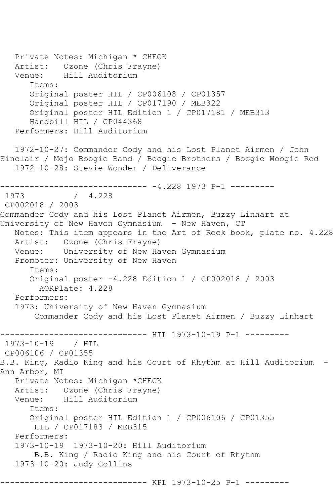Private Notes: Michigan \* CHECK Artist: Ozone (Chris Frayne) Venue: Hill Auditorium Items: Original poster HIL / CP006108 / CP01357 Original poster HIL / CP017190 / MEB322 Original poster HIL Edition 1 / CP017181 / MEB313 Handbill HIL / CP044368 Performers: Hill Auditorium 1972-10-27: Commander Cody and his Lost Planet Airmen / John Sinclair / Mojo Boogie Band / Boogie Brothers / Boogie Woogie Red 1972-10-28: Stevie Wonder / Deliverance ------------------------------ -4.228 1973 P-1 --------- 1973 / 4.228 CP002018 / 2003 Commander Cody and his Lost Planet Airmen, Buzzy Linhart at University of New Haven Gymnasium - New Haven, CT Notes: This item appears in the Art of Rock book, plate no. 4.228 Artist: Ozone (Chris Frayne) Venue: University of New Haven Gymnasium Promoter: University of New Haven Items: Original poster -4.228 Edition 1 / CP002018 / 2003 AORPlate: 4.228 Performers: 1973: University of New Haven Gymnasium Commander Cody and his Lost Planet Airmen / Buzzy Linhart ------------------------------ HIL 1973-10-19 P-1 --------- 1973-10-19 / HIL CP006106 / CP01355 B.B. King, Radio King and his Court of Rhythm at Hill Auditorium - Ann Arbor, MI Private Notes: Michigan \*CHECK Artist: Ozone (Chris Frayne) Venue: Hill Auditorium Items: Original poster HIL Edition 1 / CP006106 / CP01355 HIL / CP017183 / MEB315 Performers: 1973-10-19 1973-10-20: Hill Auditorium B.B. King / Radio King and his Court of Rhythm 1973-10-20: Judy Collins ---------- KPL 1973-10-25 P-1 ---------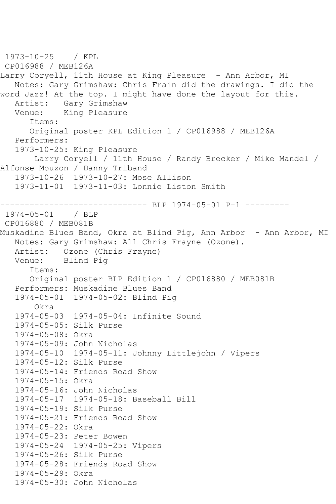```
1973-10-25 / KPL 
CP016988 / MEB126A
Larry Coryell, 11th House at King Pleasure - Ann Arbor, MI
   Notes: Gary Grimshaw: Chris Frain did the drawings. I did the 
word Jazz! At the top. I might have done the layout for this.
  Artist: Gary Grimshaw<br>Venue: King Pleasure
            King Pleasure
       Items:
      Original poster KPL Edition 1 / CP016988 / MEB126A
   Performers:
   1973-10-25: King Pleasure
        Larry Coryell / 11th House / Randy Brecker / Mike Mandel / 
Alfonse Mouzon / Danny Triband
   1973-10-26 1973-10-27: Mose Allison
   1973-11-01 1973-11-03: Lonnie Liston Smith
------------------------------ BLP 1974-05-01 P-1 ---------
1974-05-01 / BLP 
CP016880 / MEB081B
Muskadine Blues Band, Okra at Blind Pig, Ann Arbor - Ann Arbor, MI
   Notes: Gary Grimshaw: All Chris Frayne (Ozone).
   Artist: Ozone (Chris Frayne)
   Venue: Blind Pig
       Items:
      Original poster BLP Edition 1 / CP016880 / MEB081B
   Performers: Muskadine Blues Band
   1974-05-01 1974-05-02: Blind Pig
       Okra
   1974-05-03 1974-05-04: Infinite Sound
   1974-05-05: Silk Purse
   1974-05-08: Okra
   1974-05-09: John Nicholas
   1974-05-10 1974-05-11: Johnny Littlejohn / Vipers
   1974-05-12: Silk Purse
   1974-05-14: Friends Road Show
   1974-05-15: Okra
   1974-05-16: John Nicholas
   1974-05-17 1974-05-18: Baseball Bill
   1974-05-19: Silk Purse
   1974-05-21: Friends Road Show
   1974-05-22: Okra
   1974-05-23: Peter Bowen
   1974-05-24 1974-05-25: Vipers
   1974-05-26: Silk Purse
   1974-05-28: Friends Road Show
   1974-05-29: Okra
   1974-05-30: John Nicholas
```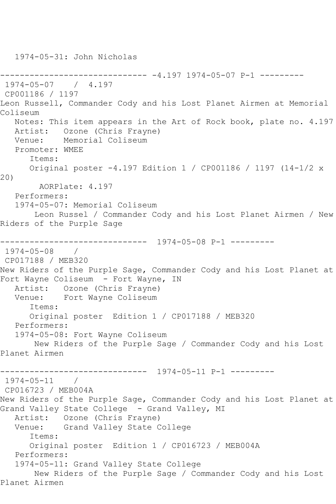------------------------------ -4.197 1974-05-07 P-1 --------- 1974-05-07 / 4.197 CP001186 / 1197 Leon Russell, Commander Cody and his Lost Planet Airmen at Memorial Coliseum Notes: This item appears in the Art of Rock book, plate no. 4.197 Artist: Ozone (Chris Frayne) Venue: Memorial Coliseum Promoter: WMEE Items: Original poster -4.197 Edition 1 / CP001186 / 1197 (14-1/2 x 20) AORPlate: 4.197 Performers: 1974-05-07: Memorial Coliseum Leon Russel / Commander Cody and his Lost Planet Airmen / New Riders of the Purple Sage ------------------------------ 1974-05-08 P-1 --------- 1974-05-08 / CP017188 / MEB320 New Riders of the Purple Sage, Commander Cody and his Lost Planet at Fort Wayne Coliseum - Fort Wayne, IN Artist: Ozone (Chris Frayne) Venue: Fort Wayne Coliseum Items: Original poster Edition 1 / CP017188 / MEB320 Performers: 1974-05-08: Fort Wayne Coliseum New Riders of the Purple Sage / Commander Cody and his Lost Planet Airmen ------------------------------ 1974-05-11 P-1 --------- 1974-05-11 / CP016723 / MEB004A New Riders of the Purple Sage, Commander Cody and his Lost Planet at Grand Valley State College - Grand Valley, MI Artist: Ozone (Chris Frayne) Venue: Grand Valley State College Items: Original poster Edition 1 / CP016723 / MEB004A Performers: 1974-05-11: Grand Valley State College New Riders of the Purple Sage / Commander Cody and his Lost Planet Airmen

1974-05-31: John Nicholas